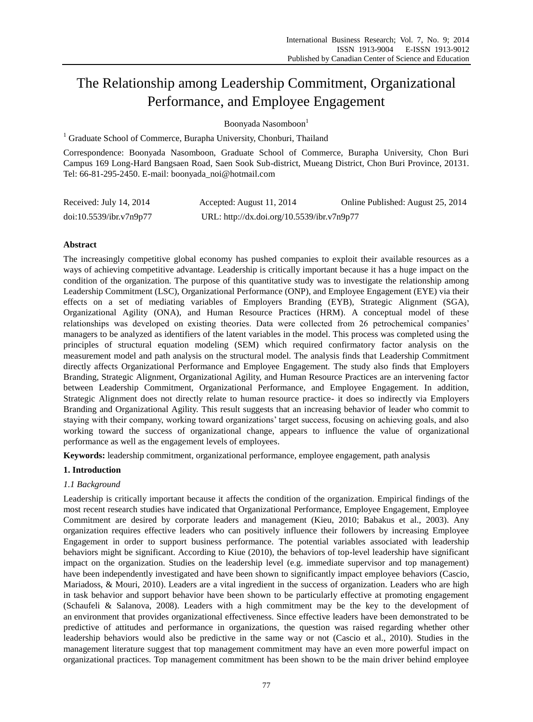# The Relationship among Leadership Commitment, Organizational Performance, and Employee Engagement

Boonyada Nasomboon<sup>1</sup>

 $1$  Graduate School of Commerce, Burapha University, Chonburi, Thailand

Correspondence: Boonyada Nasomboon, Graduate School of Commerce, Burapha University, Chon Buri Campus 169 Long-Hard Bangsaen Road, Saen Sook Sub-district, Mueang District, Chon Buri Province, 20131. Tel: 66-81-295-2450. E-mail: boonyada\_noi@hotmail.com

| Received: July 14, 2014 | Accepted: August 11, 2014                  | Online Published: August 25, 2014 |
|-------------------------|--------------------------------------------|-----------------------------------|
| doi:10.5539/ibr.v7n9p77 | URL: http://dx.doi.org/10.5539/ibr.v7n9p77 |                                   |

# **Abstract**

The increasingly competitive global economy has pushed companies to exploit their available resources as a ways of achieving competitive advantage. Leadership is critically important because it has a huge impact on the condition of the organization. The purpose of this quantitative study was to investigate the relationship among Leadership Commitment (LSC), Organizational Performance (ONP), and Employee Engagement (EYE) via their effects on a set of mediating variables of Employers Branding (EYB), Strategic Alignment (SGA), Organizational Agility (ONA), and Human Resource Practices (HRM). A conceptual model of these relationships was developed on existing theories. Data were collected from 26 petrochemical companies' managers to be analyzed as identifiers of the latent variables in the model. This process was completed using the principles of structural equation modeling (SEM) which required confirmatory factor analysis on the measurement model and path analysis on the structural model. The analysis finds that Leadership Commitment directly affects Organizational Performance and Employee Engagement. The study also finds that Employers Branding, Strategic Alignment, Organizational Agility, and Human Resource Practices are an intervening factor between Leadership Commitment, Organizational Performance, and Employee Engagement. In addition, Strategic Alignment does not directly relate to human resource practice- it does so indirectly via Employers Branding and Organizational Agility. This result suggests that an increasing behavior of leader who commit to staying with their company, working toward organizations" target success, focusing on achieving goals, and also working toward the success of organizational change, appears to influence the value of organizational performance as well as the engagement levels of employees.

**Keywords:** leadership commitment, organizational performance, employee engagement, path analysis

# **1. Introduction**

# *1.1 Background*

Leadership is critically important because it affects the condition of the organization. Empirical findings of the most recent research studies have indicated that Organizational Performance, Employee Engagement, Employee Commitment are desired by corporate leaders and management (Kieu, 2010; Babakus et al., 2003). Any organization requires effective leaders who can positively influence their followers by increasing Employee Engagement in order to support business performance. The potential variables associated with leadership behaviors might be significant. According to Kiue (2010), the behaviors of top-level leadership have significant impact on the organization. Studies on the leadership level (e.g. immediate supervisor and top management) have been independently investigated and have been shown to significantly impact employee behaviors (Cascio, Mariadoss, & Mouri, 2010). Leaders are a vital ingredient in the success of organization. Leaders who are high in task behavior and support behavior have been shown to be particularly effective at promoting engagement (Schaufeli & Salanova, 2008). Leaders with a high commitment may be the key to the development of an environment that provides organizational effectiveness. Since effective leaders have been demonstrated to be predictive of attitudes and performance in organizations, the question was raised regarding whether other leadership behaviors would also be predictive in the same way or not (Cascio et al., 2010). Studies in the management literature suggest that top management commitment may have an even more powerful impact on organizational practices. Top management commitment has been shown to be the main driver behind employee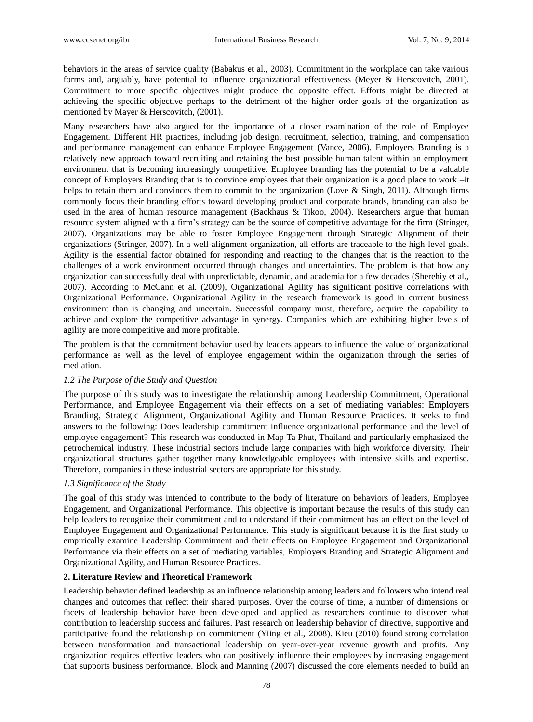behaviors in the areas of service quality (Babakus et al., 2003). Commitment in the workplace can take various forms and, arguably, have potential to influence organizational effectiveness (Meyer & Herscovitch, 2001). Commitment to more specific objectives might produce the opposite effect. Efforts might be directed at achieving the specific objective perhaps to the detriment of the higher order goals of the organization as mentioned by Mayer & Herscovitch, (2001).

Many researchers have also argued for the importance of a closer examination of the role of Employee Engagement. Different HR practices, including job design, recruitment, selection, training, and compensation and performance management can enhance Employee Engagement (Vance, 2006). Employers Branding is a relatively new approach toward recruiting and retaining the best possible human talent within an employment environment that is becoming increasingly competitive. Employee branding has the potential to be a valuable concept of Employers Branding that is to convince employees that their organization is a good place to work –it helps to retain them and convinces them to commit to the organization (Love & Singh, 2011). Although firms commonly focus their branding efforts toward developing product and corporate brands, branding can also be used in the area of human resource management (Backhaus & Tikoo, 2004). Researchers argue that human resource system aligned with a firm"s strategy can be the source of competitive advantage for the firm (Stringer, 2007). Organizations may be able to foster Employee Engagement through Strategic Alignment of their organizations (Stringer, 2007). In a well-alignment organization, all efforts are traceable to the high-level goals. Agility is the essential factor obtained for responding and reacting to the changes that is the reaction to the challenges of a work environment occurred through changes and uncertainties. The problem is that how any organization can successfully deal with unpredictable, dynamic, and academia for a few decades (Sherehiy et al., 2007). According to McCann et al. (2009), Organizational Agility has significant positive correlations with Organizational Performance. Organizational Agility in the research framework is good in current business environment than is changing and uncertain. Successful company must, therefore, acquire the capability to achieve and explore the competitive advantage in synergy. Companies which are exhibiting higher levels of agility are more competitive and more profitable.

The problem is that the commitment behavior used by leaders appears to influence the value of organizational performance as well as the level of employee engagement within the organization through the series of mediation.

## *1.2 The Purpose of the Study and Question*

The purpose of this study was to investigate the relationship among Leadership Commitment, Operational Performance, and Employee Engagement via their effects on a set of mediating variables: Employers Branding, Strategic Alignment, Organizational Agility and Human Resource Practices. It seeks to find answers to the following: Does leadership commitment influence organizational performance and the level of employee engagement? This research was conducted in Map Ta Phut, Thailand and particularly emphasized the petrochemical industry. These industrial sectors include large companies with high workforce diversity. Their organizational structures gather together many knowledgeable employees with intensive skills and expertise. Therefore, companies in these industrial sectors are appropriate for this study.

## *1.3 Significance of the Study*

The goal of this study was intended to contribute to the body of literature on behaviors of leaders, Employee Engagement, and Organizational Performance. This objective is important because the results of this study can help leaders to recognize their commitment and to understand if their commitment has an effect on the level of Employee Engagement and Organizational Performance. This study is significant because it is the first study to empirically examine Leadership Commitment and their effects on Employee Engagement and Organizational Performance via their effects on a set of mediating variables, Employers Branding and Strategic Alignment and Organizational Agility, and Human Resource Practices.

## **2. Literature Review and Theoretical Framework**

Leadership behavior defined leadership as an influence relationship among leaders and followers who intend real changes and outcomes that reflect their shared purposes. Over the course of time, a number of dimensions or facets of leadership behavior have been developed and applied as researchers continue to discover what contribution to leadership success and failures. Past research on leadership behavior of directive, supportive and participative found the relationship on commitment (Yiing et al., 2008). Kieu (2010) found strong correlation between transformation and transactional leadership on year-over-year revenue growth and profits. Any organization requires effective leaders who can positively influence their employees by increasing engagement that supports business performance. Block and Manning (2007) discussed the core elements needed to build an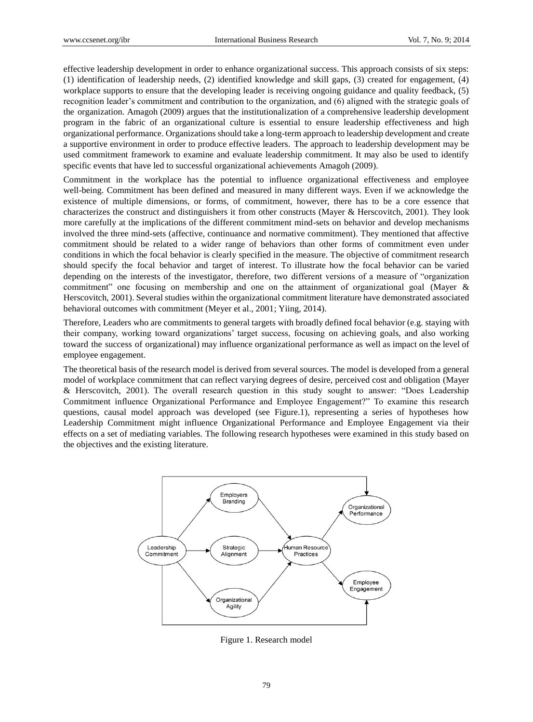effective leadership development in order to enhance organizational success. This approach consists of six steps: (1) identification of leadership needs, (2) identified knowledge and skill gaps, (3) created for engagement, (4) workplace supports to ensure that the developing leader is receiving ongoing guidance and quality feedback, (5) recognition leader"s commitment and contribution to the organization, and (6) aligned with the strategic goals of the organization. Amagoh (2009) argues that the institutionalization of a comprehensive leadership development program in the fabric of an organizational culture is essential to ensure leadership effectiveness and high organizational performance. Organizations should take a long-term approach to leadership development and create a supportive environment in order to produce effective leaders. The approach to leadership development may be used commitment framework to examine and evaluate leadership commitment. It may also be used to identify specific events that have led to successful organizational achievements Amagoh (2009).

Commitment in the workplace has the potential to influence organizational effectiveness and employee well-being. Commitment has been defined and measured in many different ways. Even if we acknowledge the existence of multiple dimensions, or forms, of commitment, however, there has to be a core essence that characterizes the construct and distinguishers it from other constructs (Mayer & Herscovitch, 2001). They look more carefully at the implications of the different commitment mind-sets on behavior and develop mechanisms involved the three mind-sets (affective, continuance and normative commitment). They mentioned that affective commitment should be related to a wider range of behaviors than other forms of commitment even under conditions in which the focal behavior is clearly specified in the measure. The objective of commitment research should specify the focal behavior and target of interest. To illustrate how the focal behavior can be varied depending on the interests of the investigator, therefore, two different versions of a measure of "organization commitment" one focusing on membership and one on the attainment of organizational goal (Mayer & Herscovitch, 2001). Several studies within the organizational commitment literature have demonstrated associated behavioral outcomes with commitment (Meyer et al., 2001; Yiing, 2014).

Therefore, Leaders who are commitments to general targets with broadly defined focal behavior (e.g. staying with their company, working toward organizations" target success, focusing on achieving goals, and also working toward the success of organizational) may influence organizational performance as well as impact on the level of employee engagement.

The theoretical basis of the research model is derived from several sources. The model is developed from a general model of workplace commitment that can reflect varying degrees of desire, perceived cost and obligation (Mayer & Herscovitch, 2001). The overall research question in this study sought to answer: "Does Leadership Commitment influence Organizational Performance and Employee Engagement?" To examine this research questions, causal model approach was developed (see Figure.1), representing a series of hypotheses how Leadership Commitment might influence Organizational Performance and Employee Engagement via their effects on a set of mediating variables. The following research hypotheses were examined in this study based on the objectives and the existing literature.



Figure 1. Research model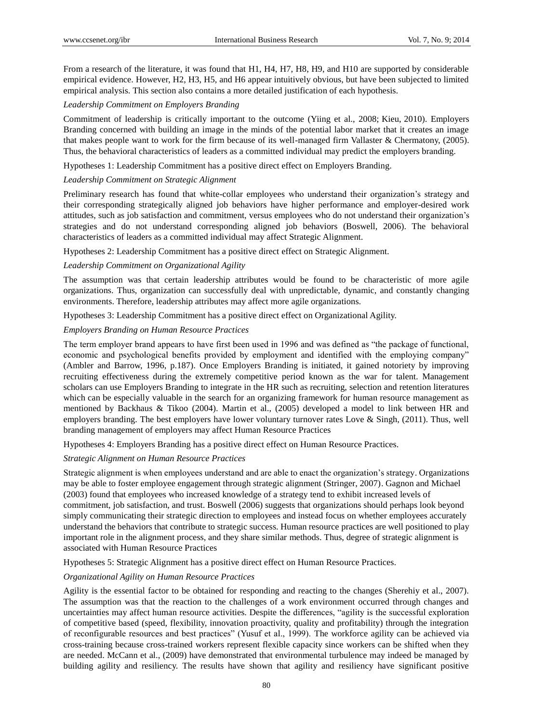From a research of the literature, it was found that H1, H4, H7, H8, H9, and H10 are supported by considerable empirical evidence. However, H2, H3, H5, and H6 appear intuitively obvious, but have been subjected to limited empirical analysis. This section also contains a more detailed justification of each hypothesis.

## *Leadership Commitment on Employers Branding*

Commitment of leadership is critically important to the outcome (Yiing et al., 2008; Kieu, 2010). Employers Branding concerned with building an image in the minds of the potential labor market that it creates an image that makes people want to work for the firm because of its well-managed firm Vallaster & Chermatony, (2005). Thus, the behavioral characteristics of leaders as a committed individual may predict the employers branding.

Hypotheses 1: Leadership Commitment has a positive direct effect on Employers Branding.

#### *Leadership Commitment on Strategic Alignment*

Preliminary research has found that white-collar employees who understand their organization"s strategy and their corresponding strategically aligned job behaviors have higher performance and employer-desired work attitudes, such as job satisfaction and commitment, versus employees who do not understand their organization"s strategies and do not understand corresponding aligned job behaviors (Boswell, 2006). The behavioral characteristics of leaders as a committed individual may affect Strategic Alignment.

Hypotheses 2: Leadership Commitment has a positive direct effect on Strategic Alignment.

#### *Leadership Commitment on Organizational Agility*

The assumption was that certain leadership attributes would be found to be characteristic of more agile organizations. Thus, organization can successfully deal with unpredictable, dynamic, and constantly changing environments. Therefore, leadership attributes may affect more agile organizations.

Hypotheses 3: Leadership Commitment has a positive direct effect on Organizational Agility.

#### *Employers Branding on Human Resource Practices*

The term employer brand appears to have first been used in 1996 and was defined as "the package of functional, economic and psychological benefits provided by employment and identified with the employing company" (Ambler and Barrow, 1996, p.187). Once Employers Branding is initiated, it gained notoriety by improving recruiting effectiveness during the extremely competitive period known as the war for talent. Management scholars can use Employers Branding to integrate in the HR such as recruiting, selection and retention literatures which can be especially valuable in the search for an organizing framework for human resource management as mentioned by Backhaus & Tikoo (2004). Martin et al., (2005) developed a model to link between HR and employers branding. The best employers have lower voluntary turnover rates Love & Singh, (2011). Thus, well branding management of employers may affect Human Resource Practices

Hypotheses 4: Employers Branding has a positive direct effect on Human Resource Practices.

#### *Strategic Alignment on Human Resource Practices*

Strategic alignment is when employees understand and are able to enact the organization"s strategy. Organizations may be able to foster employee engagement through strategic alignment (Stringer, 2007). Gagnon and Michael (2003) found that employees who increased knowledge of a strategy tend to exhibit increased levels of commitment, job satisfaction, and trust. Boswell (2006) suggests that organizations should perhaps look beyond simply communicating their strategic direction to employees and instead focus on whether employees accurately understand the behaviors that contribute to strategic success. Human resource practices are well positioned to play important role in the alignment process, and they share similar methods. Thus, degree of strategic alignment is associated with Human Resource Practices

Hypotheses 5: Strategic Alignment has a positive direct effect on Human Resource Practices.

#### *Organizational Agility on Human Resource Practices*

Agility is the essential factor to be obtained for responding and reacting to the changes (Sherehiy et al., 2007). The assumption was that the reaction to the challenges of a work environment occurred through changes and uncertainties may affect human resource activities. Despite the differences, "agility is the successful exploration of competitive based (speed, flexibility, innovation proactivity, quality and profitability) through the integration of reconfigurable resources and best practices" (Yusuf et al., 1999). The workforce agility can be achieved via cross-training because cross-trained workers represent flexible capacity since workers can be shifted when they are needed. McCann et al., (2009) have demonstrated that environmental turbulence may indeed be managed by building agility and resiliency. The results have shown that agility and resiliency have significant positive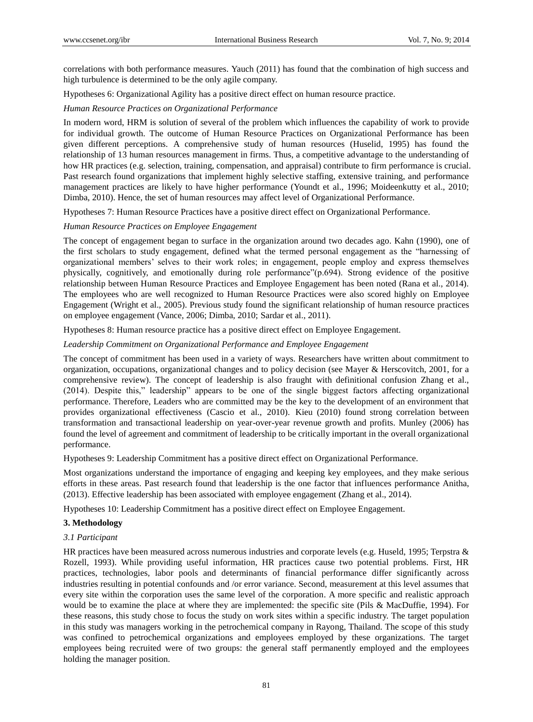correlations with both performance measures. Yauch (2011) has found that the combination of high success and high turbulence is determined to be the only agile company.

Hypotheses 6: Organizational Agility has a positive direct effect on human resource practice.

*Human Resource Practices on Organizational Performance*

In modern word, HRM is solution of several of the problem which influences the capability of work to provide for individual growth. The outcome of Human Resource Practices on Organizational Performance has been given different perceptions. A comprehensive study of human resources (Huselid, 1995) has found the relationship of 13 human resources management in firms. Thus, a competitive advantage to the understanding of how HR practices (e.g. selection, training, compensation, and appraisal) contribute to firm performance is crucial. Past research found organizations that implement highly selective staffing, extensive training, and performance management practices are likely to have higher performance (Youndt et al., 1996; Moideenkutty et al., 2010; Dimba, 2010). Hence, the set of human resources may affect level of Organizational Performance.

Hypotheses 7: Human Resource Practices have a positive direct effect on Organizational Performance.

#### *Human Resource Practices on Employee Engagement*

The concept of engagement began to surface in the organization around two decades ago. Kahn (1990), one of the first scholars to study engagement, defined what the termed personal engagement as the "harnessing of organizational members" selves to their work roles; in engagement, people employ and express themselves physically, cognitively, and emotionally during role performance"(p.694). Strong evidence of the positive relationship between Human Resource Practices and Employee Engagement has been noted (Rana et al., 2014). The employees who are well recognized to Human Resource Practices were also scored highly on Employee Engagement (Wright et al., 2005). Previous study found the significant relationship of human resource practices on employee engagement (Vance, 2006; Dimba, 2010; Sardar et al., 2011).

Hypotheses 8: Human resource practice has a positive direct effect on Employee Engagement.

*Leadership Commitment on Organizational Performance and Employee Engagement*

The concept of commitment has been used in a variety of ways. Researchers have written about commitment to organization, occupations, organizational changes and to policy decision (see Mayer & Herscovitch, 2001, for a comprehensive review). The concept of leadership is also fraught with definitional confusion Zhang et al., (2014). Despite this," leadership" appears to be one of the single biggest factors affecting organizational performance. Therefore, Leaders who are committed may be the key to the development of an environment that provides organizational effectiveness (Cascio et al., 2010). Kieu (2010) found strong correlation between transformation and transactional leadership on year-over-year revenue growth and profits. Munley (2006) has found the level of agreement and commitment of leadership to be critically important in the overall organizational performance.

Hypotheses 9: Leadership Commitment has a positive direct effect on Organizational Performance.

Most organizations understand the importance of engaging and keeping key employees, and they make serious efforts in these areas. Past research found that leadership is the one factor that influences performance Anitha, (2013). Effective leadership has been associated with employee engagement (Zhang et al., 2014).

Hypotheses 10: Leadership Commitment has a positive direct effect on Employee Engagement.

## **3. Methodology**

#### *3.1 Participant*

HR practices have been measured across numerous industries and corporate levels (e.g. Huseld, 1995; Terpstra & Rozell, 1993). While providing useful information, HR practices cause two potential problems. First, HR practices, technologies, labor pools and determinants of financial performance differ significantly across industries resulting in potential confounds and /or error variance. Second, measurement at this level assumes that every site within the corporation uses the same level of the corporation. A more specific and realistic approach would be to examine the place at where they are implemented: the specific site (Pils & MacDuffie, 1994). For these reasons, this study chose to focus the study on work sites within a specific industry. The target population in this study was managers working in the petrochemical company in Rayong, Thailand. The scope of this study was confined to petrochemical organizations and employees employed by these organizations. The target employees being recruited were of two groups: the general staff permanently employed and the employees holding the manager position.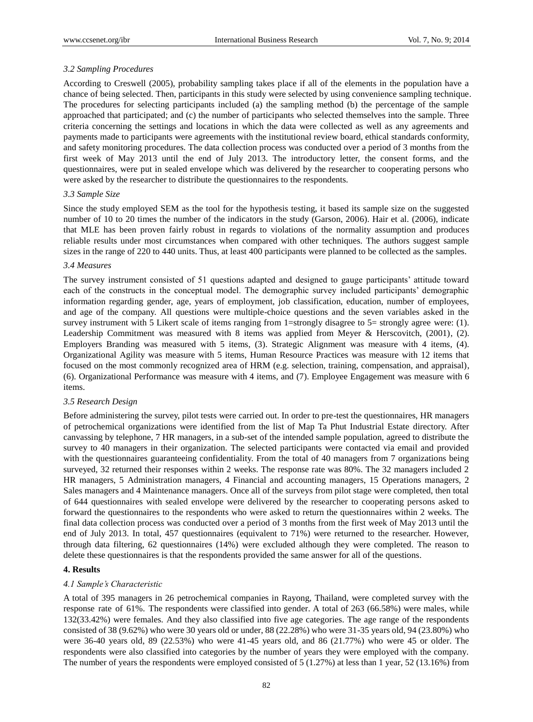# *3.2 Sampling Procedures*

According to Creswell (2005), probability sampling takes place if all of the elements in the population have a chance of being selected. Then, participants in this study were selected by using convenience sampling technique. The procedures for selecting participants included (a) the sampling method (b) the percentage of the sample approached that participated; and (c) the number of participants who selected themselves into the sample. Three criteria concerning the settings and locations in which the data were collected as well as any agreements and payments made to participants were agreements with the institutional review board, ethical standards conformity, and safety monitoring procedures. The data collection process was conducted over a period of 3 months from the first week of May 2013 until the end of July 2013. The introductory letter, the consent forms, and the questionnaires, were put in sealed envelope which was delivered by the researcher to cooperating persons who were asked by the researcher to distribute the questionnaires to the respondents.

## *3.3 Sample Size*

Since the study employed SEM as the tool for the hypothesis testing, it based its sample size on the suggested number of 10 to 20 times the number of the indicators in the study (Garson, 2006). Hair et al. (2006), indicate that MLE has been proven fairly robust in regards to violations of the normality assumption and produces reliable results under most circumstances when compared with other techniques. The authors suggest sample sizes in the range of 220 to 440 units. Thus, at least 400 participants were planned to be collected as the samples.

## *3.4 Measures*

The survey instrument consisted of 51 questions adapted and designed to gauge participants" attitude toward each of the constructs in the conceptual model. The demographic survey included participants' demographic information regarding gender, age, years of employment, job classification, education, number of employees, and age of the company. All questions were multiple-choice questions and the seven variables asked in the survey instrument with 5 Likert scale of items ranging from 1=strongly disagree to 5= strongly agree were: (1). Leadership Commitment was measured with 8 items was applied from Meyer & Herscovitch, (2001), (2). Employers Branding was measured with 5 items, (3). Strategic Alignment was measure with 4 items, (4). Organizational Agility was measure with 5 items, Human Resource Practices was measure with 12 items that focused on the most commonly recognized area of HRM (e.g. selection, training, compensation, and appraisal), (6). Organizational Performance was measure with 4 items, and (7). Employee Engagement was measure with 6 items.

## *3.5 Research Design*

Before administering the survey, pilot tests were carried out. In order to pre-test the questionnaires, HR managers of petrochemical organizations were identified from the list of Map Ta Phut Industrial Estate directory. After canvassing by telephone, 7 HR managers, in a sub-set of the intended sample population, agreed to distribute the survey to 40 managers in their organization. The selected participants were contacted via email and provided with the questionnaires guaranteeing confidentiality. From the total of 40 managers from 7 organizations being surveyed, 32 returned their responses within 2 weeks. The response rate was 80%. The 32 managers included 2 HR managers, 5 Administration managers, 4 Financial and accounting managers, 15 Operations managers, 2 Sales managers and 4 Maintenance managers. Once all of the surveys from pilot stage were completed, then total of 644 questionnaires with sealed envelope were delivered by the researcher to cooperating persons asked to forward the questionnaires to the respondents who were asked to return the questionnaires within 2 weeks. The final data collection process was conducted over a period of 3 months from the first week of May 2013 until the end of July 2013. In total, 457 questionnaires (equivalent to 71%) were returned to the researcher. However, through data filtering, 62 questionnaires (14%) were excluded although they were completed. The reason to delete these questionnaires is that the respondents provided the same answer for all of the questions.

## **4. Results**

## *4.1 Sample's Characteristic*

A total of 395 managers in 26 petrochemical companies in Rayong, Thailand, were completed survey with the response rate of 61%. The respondents were classified into gender. A total of 263 (66.58%) were males, while 132(33.42%) were females. And they also classified into five age categories. The age range of the respondents consisted of 38 (9.62%) who were 30 years old or under, 88 (22.28%) who were 31-35 years old, 94 (23.80%) who were 36-40 years old, 89 (22.53%) who were 41-45 years old, and 86 (21.77%) who were 45 or older. The respondents were also classified into categories by the number of years they were employed with the company. The number of years the respondents were employed consisted of 5 (1.27%) at less than 1 year, 52 (13.16%) from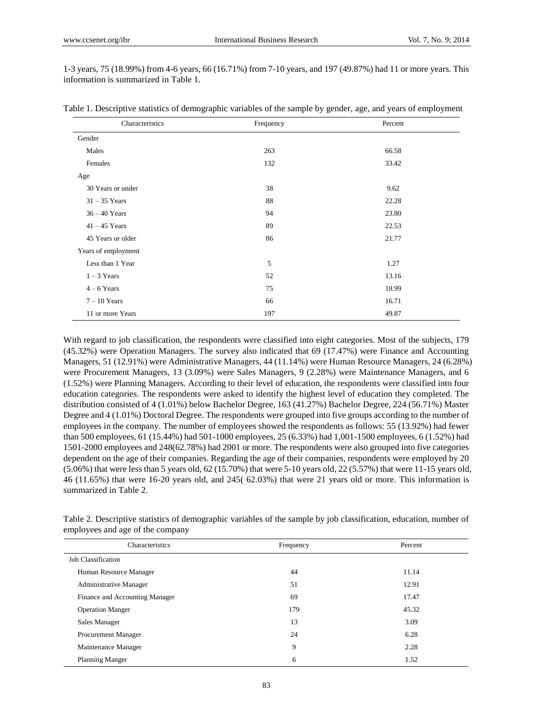1-3 years, 75 (18.99%) from 4-6 years, 66 (16.71%) from 7-10 years, and 197 (49.87%) had 11 or more years. This information is summarized in Table 1.

| Characteristics     | Frequency | Percent |
|---------------------|-----------|---------|
| Gender              |           |         |
| Males               | 263       | 66.58   |
| Females             | 132       | 33.42   |
| Age                 |           |         |
| 30 Years or under   | 38        | 9.62    |
| $31 - 35$ Years     | 88        | 22.28   |
| $36 - 40$ Years     | 94        | 23.80   |
| $41 - 45$ Years     | 89        | 22.53   |
| 45 Years or older   | 86        | 21.77   |
| Years of employment |           |         |
| Less than 1 Year    | 5         | 1.27    |
| $1 - 3$ Years       | 52        | 13.16   |
| $4 - 6$ Years       | 75        | 18.99   |
| $7 - 10$ Years      | 66        | 16.71   |
| 11 or more Years    | 197       | 49.87   |

Table 1. Descriptive statistics of demographic variables of the sample by gender, age, and years of employment

With regard to job classification, the respondents were classified into eight categories. Most of the subjects, 179 (45.32%) were Operation Managers. The survey also indicated that 69 (17.47%) were Finance and Accounting Managers, 51 (12.91%) were Administrative Managers, 44 (11.14%) were Human Resource Managers, 24 (6.28%) were Procurement Managers, 13 (3.09%) were Sales Managers, 9 (2.28%) were Maintenance Managers, and 6 (1.52%) were Planning Managers. According to their level of education, the respondents were classified into four education categories. The respondents were asked to identify the highest level of education they completed. The distribution consisted of 4 (1.01%) below Bachelor Degree, 163 (41.27%) Bachelor Degree, 224 (56.71%) Master Degree and 4 (1.01%) Doctoral Degree. The respondents were grouped into five groups according to the number of employees in the company. The number of employees showed the respondents as follows: 55 (13.92%) had fewer than 500 employees, 61 (15.44%) had 501-1000 employees, 25 (6.33%) had 1,001-1500 employees, 6 (1.52%) had 1501-2000 employees and 248(62.78%) had 2001 or more. The respondents were also grouped into five categories dependent on the age of their companies. Regarding the age of their companies, respondents were employed by 20 (5.06%) that were less than 5 years old, 62 (15.70%) that were 5-10 years old, 22 (5.57%) that were 11-15 years old, 46 (11.65%) that were 16-20 years old, and 245( 62.03%) that were 21 years old or more. This information is summarized in Table 2.

| Characteristics                | Frequency | Percent |
|--------------------------------|-----------|---------|
| Job Classification             |           |         |
| Human Resource Manager         | 44        | 11.14   |
| <b>Administrative Manager</b>  | 51        | 12.91   |
| Finance and Accounting Manager | 69        | 17.47   |
| <b>Operation Manger</b>        | 179       | 45.32   |
| Sales Manager                  | 13        | 3.09    |
| Procurement Manager            | 24        | 6.28    |
| Maintenance Manager            | 9         | 2.28    |
| <b>Planning Manger</b>         | 6         | 1.52    |

Table 2. Descriptive statistics of demographic variables of the sample by job classification, education, number of employees and age of the company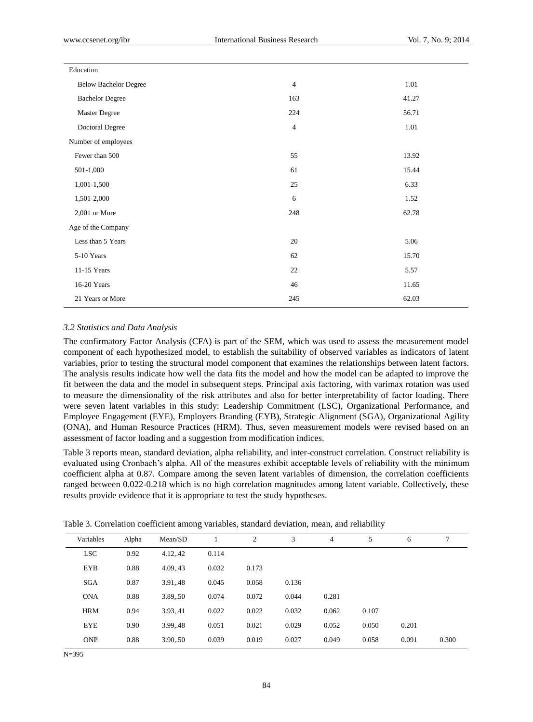| Education                    |                |       |  |  |  |  |
|------------------------------|----------------|-------|--|--|--|--|
| <b>Below Bachelor Degree</b> | $\overline{4}$ | 1.01  |  |  |  |  |
| <b>Bachelor Degree</b>       | 163            | 41.27 |  |  |  |  |
| Master Degree                | 224            | 56.71 |  |  |  |  |
| Doctoral Degree              | $\overline{4}$ | 1.01  |  |  |  |  |
| Number of employees          |                |       |  |  |  |  |
| Fewer than 500               | 55             | 13.92 |  |  |  |  |
| 501-1,000                    | 61             | 15.44 |  |  |  |  |
| 1,001-1,500                  | 25             | 6.33  |  |  |  |  |
| 1,501-2,000                  | 6              | 1.52  |  |  |  |  |
| 2,001 or More                | 248            | 62.78 |  |  |  |  |
| Age of the Company           |                |       |  |  |  |  |
| Less than 5 Years            | 20             | 5.06  |  |  |  |  |
| 5-10 Years                   | 62             | 15.70 |  |  |  |  |
| 11-15 Years                  | 22             | 5.57  |  |  |  |  |
| 16-20 Years                  | 46             | 11.65 |  |  |  |  |
| 21 Years or More             | 245            | 62.03 |  |  |  |  |

## *3.2 Statistics and Data Analysis*

The confirmatory Factor Analysis (CFA) is part of the SEM, which was used to assess the measurement model component of each hypothesized model, to establish the suitability of observed variables as indicators of latent variables, prior to testing the structural model component that examines the relationships between latent factors. The analysis results indicate how well the data fits the model and how the model can be adapted to improve the fit between the data and the model in subsequent steps. Principal axis factoring, with varimax rotation was used to measure the dimensionality of the risk attributes and also for better interpretability of factor loading. There were seven latent variables in this study: Leadership Commitment (LSC), Organizational Performance, and Employee Engagement (EYE), Employers Branding (EYB), Strategic Alignment (SGA), Organizational Agility (ONA), and Human Resource Practices (HRM). Thus, seven measurement models were revised based on an assessment of factor loading and a suggestion from modification indices.

Table 3 reports mean, standard deviation, alpha reliability, and inter-construct correlation. Construct reliability is evaluated using Cronbach"s alpha. All of the measures exhibit acceptable levels of reliability with the minimum coefficient alpha at 0.87. Compare among the seven latent variables of dimension, the correlation coefficients ranged between 0.022-0.218 which is no high correlation magnitudes among latent variable. Collectively, these results provide evidence that it is appropriate to test the study hypotheses.

| Table 3. Correlation coefficient among variables, standard deviation, mean, and reliability |  |  |  |  |  |  |  |  |  |  |
|---------------------------------------------------------------------------------------------|--|--|--|--|--|--|--|--|--|--|
|---------------------------------------------------------------------------------------------|--|--|--|--|--|--|--|--|--|--|

| Variables  | Alpha | Mean/SD  |       | 2     | 3     | $\overline{4}$ | 5     | 6     | 7     |
|------------|-------|----------|-------|-------|-------|----------------|-------|-------|-------|
| <b>LSC</b> | 0.92  | 4.12,.42 | 0.114 |       |       |                |       |       |       |
| <b>EYB</b> | 0.88  | 4.09,.43 | 0.032 | 0.173 |       |                |       |       |       |
| <b>SGA</b> | 0.87  | 3.91,48  | 0.045 | 0.058 | 0.136 |                |       |       |       |
| <b>ONA</b> | 0.88  | 3.89, 50 | 0.074 | 0.072 | 0.044 | 0.281          |       |       |       |
| <b>HRM</b> | 0.94  | 3.93, 41 | 0.022 | 0.022 | 0.032 | 0.062          | 0.107 |       |       |
| <b>EYE</b> | 0.90  | 3.99, 48 | 0.051 | 0.021 | 0.029 | 0.052          | 0.050 | 0.201 |       |
| <b>ONP</b> | 0.88  | 3.90, 50 | 0.039 | 0.019 | 0.027 | 0.049          | 0.058 | 0.091 | 0.300 |
|            |       |          |       |       |       |                |       |       |       |

N=395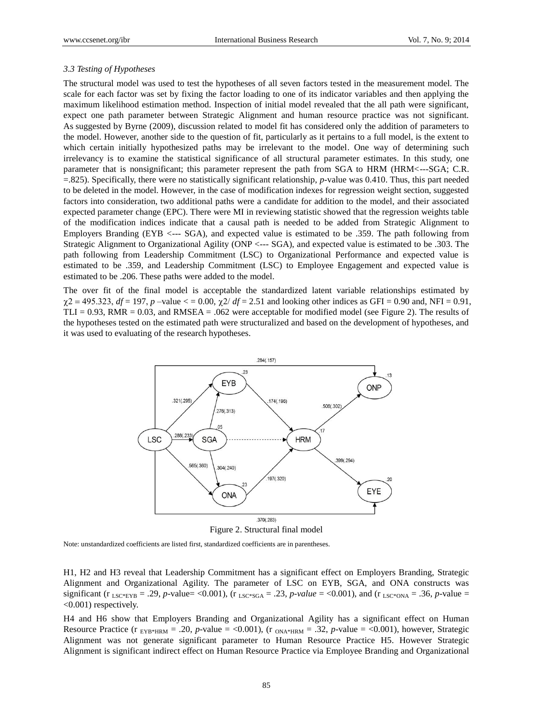## *3.3 Testing of Hypotheses*

The structural model was used to test the hypotheses of all seven factors tested in the measurement model. The scale for each factor was set by fixing the factor loading to one of its indicator variables and then applying the maximum likelihood estimation method. Inspection of initial model revealed that the all path were significant, expect one path parameter between Strategic Alignment and human resource practice was not significant. As suggested by Byrne (2009), discussion related to model fit has considered only the addition of parameters to the model. However, another side to the question of fit, particularly as it pertains to a full model, is the extent to which certain initially hypothesized paths may be irrelevant to the model. One way of determining such irrelevancy is to examine the statistical significance of all structural parameter estimates. In this study, one parameter that is nonsignificant; this parameter represent the path from SGA to HRM (HRM<---SGA; C.R. =.825). Specifically, there were no statistically significant relationship, *p*-value was 0.410. Thus, this part needed to be deleted in the model. However, in the case of modification indexes for regression weight section, suggested factors into consideration, two additional paths were a candidate for addition to the model, and their associated expected parameter change (EPC). There were MI in reviewing statistic showed that the regression weights table of the modification indices indicate that a causal path is needed to be added from Strategic Alignment to Employers Branding (EYB <--- SGA), and expected value is estimated to be .359. The path following from Strategic Alignment to Organizational Agility (ONP <--- SGA), and expected value is estimated to be .303. The path following from Leadership Commitment (LSC) to Organizational Performance and expected value is estimated to be .359, and Leadership Commitment (LSC) to Employee Engagement and expected value is estimated to be .206. These paths were added to the model.

The over fit of the final model is acceptable the standardized latent variable relationships estimated by  $\chi$ 2 = 495.323, *df* = 197, *p* –value  $\lt$  = 0.00,  $\chi$ 2/ *df* = 2.51 and looking other indices as GFI = 0.90 and, NFI = 0.91,  $TLI = 0.93$ ,  $RMR = 0.03$ , and  $RMSEA = .062$  were acceptable for modified model (see Figure 2). The results of the hypotheses tested on the estimated path were structuralized and based on the development of hypotheses, and it was used to evaluating of the research hypotheses.



Figure 2. Structural final model

Note: unstandardized coefficients are listed first, standardized coefficients are in parentheses.

H1, H2 and H3 reveal that Leadership Commitment has a significant effect on Employers Branding, Strategic Alignment and Organizational Agility. The parameter of LSC on EYB, SGA, and ONA constructs was significant (r LSC\*EYB = .29, *p*-value = <0.001), (r LSC\*SGA = .23, *p-value* = <0.001), and (r LSC\*ONA = .36, *p*-value = <0.001) respectively.

H4 and H6 show that Employers Branding and Organizational Agility has a significant effect on Human Resource Practice (r  $_{\text{EYB*HRM}} = .20$ , *p*-value = <0.001), (r  $_{\text{ONA*HRM}} = .32$ , *p*-value = <0.001), however, Strategic Alignment was not generate significant parameter to Human Resource Practice H5. However Strategic Alignment is significant indirect effect on Human Resource Practice via Employee Branding and Organizational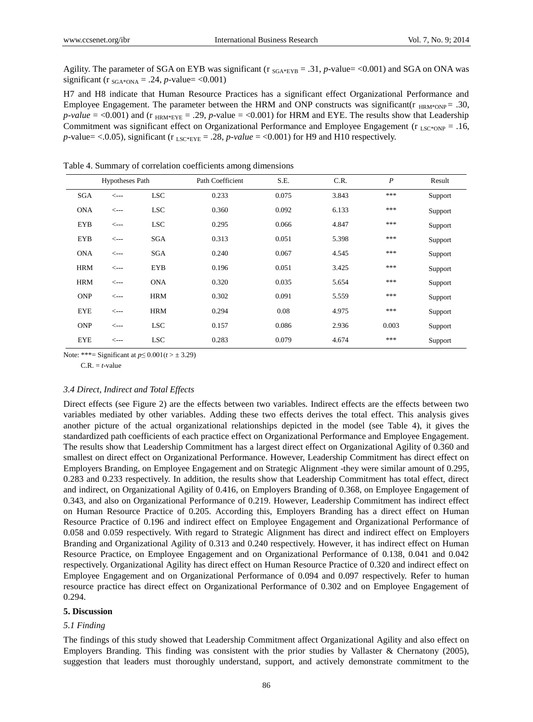Agility. The parameter of SGA on EYB was significant ( $r_{SGA*EYB} = .31$ , *p*-value= <0.001) and SGA on ONA was significant (r  $_{SGA*ONA}$  = .24, *p*-value= <0.001)

H7 and H8 indicate that Human Resource Practices has a significant effect Organizational Performance and Employee Engagement. The parameter between the HRM and ONP constructs was significant( $r_{HRM*ONP} = .30$ ,  $p-value = <0.001$  and (r  $_{\text{HRM*EYE}} = .29$ , *p*-value = <0.001) for HRM and EYE. The results show that Leadership Commitment was significant effect on Organizational Performance and Employee Engagement ( $r_{LSC*ONP} = .16$ ,  $p$ -value= <.0.05), significant (r  $_{LSC*EYE}$  = .28,  $p$ -value = <0.001) for H9 and H10 respectively.

| <b>Hypotheses Path</b> |                  | Path Coefficient | S.E.  | C.R.  | $\boldsymbol{P}$ | Result |         |
|------------------------|------------------|------------------|-------|-------|------------------|--------|---------|
| SGA                    | $\leftarrow$ --- | <b>LSC</b>       | 0.233 | 0.075 | 3.843            | ***    | Support |
| <b>ONA</b>             | $\leftarrow$ --- | <b>LSC</b>       | 0.360 | 0.092 | 6.133            | ***    | Support |
| <b>EYB</b>             | $\leftarrow$ --- | <b>LSC</b>       | 0.295 | 0.066 | 4.847            | ***    | Support |
| <b>EYB</b>             | $\leftarrow$ --- | SGA              | 0.313 | 0.051 | 5.398            | ***    | Support |
| <b>ONA</b>             | $\leftarrow$ --- | SGA              | 0.240 | 0.067 | 4.545            | ***    | Support |
| <b>HRM</b>             | $\leftarrow$ --- | <b>EYB</b>       | 0.196 | 0.051 | 3.425            | ***    | Support |
| <b>HRM</b>             | $\leftarrow -$   | <b>ONA</b>       | 0.320 | 0.035 | 5.654            | ***    | Support |
| <b>ONP</b>             | $\leftarrow -$   | <b>HRM</b>       | 0.302 | 0.091 | 5.559            | ***    | Support |
| <b>EYE</b>             | $\leftarrow$ --- | <b>HRM</b>       | 0.294 | 0.08  | 4.975            | ***    | Support |
| <b>ONP</b>             | $\leftarrow -$   | <b>LSC</b>       | 0.157 | 0.086 | 2.936            | 0.003  | Support |
| <b>EYE</b>             | $\leftarrow -$   | <b>LSC</b>       | 0.283 | 0.079 | 4.674            | ***    | Support |

Table 4. Summary of correlation coefficients among dimensions

Note: \*\*\*= Significant at *p*≤ 0.001(*t* > ± 3.29)

 $C.R. = t$ -value

#### *3.4 Direct, Indirect and Total Effects*

Direct effects (see Figure 2) are the effects between two variables. Indirect effects are the effects between two variables mediated by other variables. Adding these two effects derives the total effect. This analysis gives another picture of the actual organizational relationships depicted in the model (see Table 4), it gives the standardized path coefficients of each practice effect on Organizational Performance and Employee Engagement. The results show that Leadership Commitment has a largest direct effect on Organizational Agility of 0.360 and smallest on direct effect on Organizational Performance. However, Leadership Commitment has direct effect on Employers Branding, on Employee Engagement and on Strategic Alignment -they were similar amount of 0.295, 0.283 and 0.233 respectively. In addition, the results show that Leadership Commitment has total effect, direct and indirect, on Organizational Agility of 0.416, on Employers Branding of 0.368, on Employee Engagement of 0.343, and also on Organizational Performance of 0.219. However, Leadership Commitment has indirect effect on Human Resource Practice of 0.205. According this, Employers Branding has a direct effect on Human Resource Practice of 0.196 and indirect effect on Employee Engagement and Organizational Performance of 0.058 and 0.059 respectively. With regard to Strategic Alignment has direct and indirect effect on Employers Branding and Organizational Agility of 0.313 and 0.240 respectively. However, it has indirect effect on Human Resource Practice, on Employee Engagement and on Organizational Performance of 0.138, 0.041 and 0.042 respectively. Organizational Agility has direct effect on Human Resource Practice of 0.320 and indirect effect on Employee Engagement and on Organizational Performance of 0.094 and 0.097 respectively. Refer to human resource practice has direct effect on Organizational Performance of 0.302 and on Employee Engagement of 0.294.

#### **5. Discussion**

#### *5.1 Finding*

The findings of this study showed that Leadership Commitment affect Organizational Agility and also effect on Employers Branding. This finding was consistent with the prior studies by Vallaster & Chernatony (2005), suggestion that leaders must thoroughly understand, support, and actively demonstrate commitment to the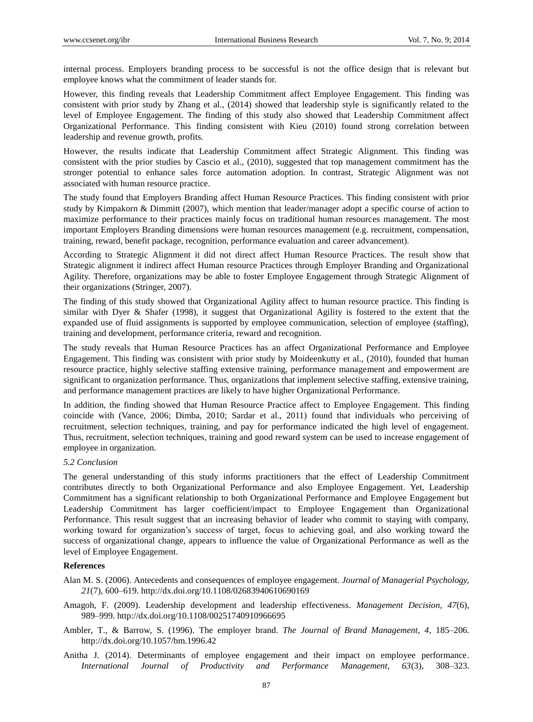internal process. Employers branding process to be successful is not the office design that is relevant but employee knows what the commitment of leader stands for.

However, this finding reveals that Leadership Commitment affect Employee Engagement. This finding was consistent with prior study by Zhang et al., (2014) showed that leadership style is significantly related to the level of Employee Engagement. The finding of this study also showed that Leadership Commitment affect Organizational Performance. This finding consistent with Kieu (2010) found strong correlation between leadership and revenue growth, profits.

However, the results indicate that Leadership Commitment affect Strategic Alignment. This finding was consistent with the prior studies by Cascio et al., (2010), suggested that top management commitment has the stronger potential to enhance sales force automation adoption. In contrast, Strategic Alignment was not associated with human resource practice.

The study found that Employers Branding affect Human Resource Practices. This finding consistent with prior study by Kimpakorn & Dimmitt (2007), which mention that leader/manager adopt a specific course of action to maximize performance to their practices mainly focus on traditional human resources management. The most important Employers Branding dimensions were human resources management (e.g. recruitment, compensation, training, reward, benefit package, recognition, performance evaluation and career advancement).

According to Strategic Alignment it did not direct affect Human Resource Practices. The result show that Strategic alignment it indirect affect Human resource Practices through Employer Branding and Organizational Agility. Therefore, organizations may be able to foster Employee Engagement through Strategic Alignment of their organizations (Stringer, 2007).

The finding of this study showed that Organizational Agility affect to human resource practice. This finding is similar with Dyer & Shafer (1998), it suggest that Organizational Agility is fostered to the extent that the expanded use of fluid assignments is supported by employee communication, selection of employee (staffing), training and development, performance criteria, reward and recognition.

The study reveals that Human Resource Practices has an affect Organizational Performance and Employee Engagement. This finding was consistent with prior study by Moideenkutty et al., (2010), founded that human resource practice, highly selective staffing extensive training, performance management and empowerment are significant to organization performance. Thus, organizations that implement selective staffing, extensive training, and performance management practices are likely to have higher Organizational Performance.

In addition, the finding showed that Human Resource Practice affect to Employee Engagement. This finding coincide with (Vance, 2006; Dimba, 2010; Sardar et al., 2011) found that individuals who perceiving of recruitment, selection techniques, training, and pay for performance indicated the high level of engagement. Thus, recruitment, selection techniques, training and good reward system can be used to increase engagement of employee in organization.

## *5.2 Conclusion*

The general understanding of this study informs practitioners that the effect of Leadership Commitment contributes directly to both Organizational Performance and also Employee Engagement. Yet, Leadership Commitment has a significant relationship to both Organizational Performance and Employee Engagement but Leadership Commitment has larger coefficient/impact to Employee Engagement than Organizational Performance. This result suggest that an increasing behavior of leader who commit to staying with company, working toward for organization"s success of target, focus to achieving goal, and also working toward the success of organizational change, appears to influence the value of Organizational Performance as well as the level of Employee Engagement.

#### **References**

- Alan M. S. (2006). Antecedents and consequences of employee engagement. *Journal of Managerial Psychology, 21*(7), 600–619. http://dx.doi.org/10.1108/02683940610690169
- Amagoh, F. (2009). Leadership development and leadership effectiveness. *Management Decision, 47*(6), 989–999. http://dx.doi.org/10.1108/00251740910966695
- Ambler, T., & Barrow, S. (1996). The employer brand. *The Journal of Brand Management, 4*, 185–206. http://dx.doi.org/10.1057/bm.1996.42
- Anitha J. (2014). Determinants of employee engagement and their impact on employee performance. *International Journal of Productivity and Performance Management, 63*(3), 308–323.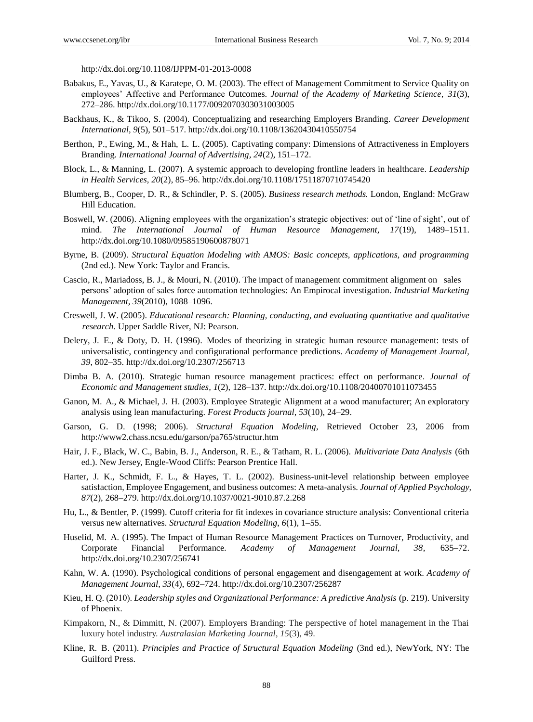http://dx.doi.org/10.1108/IJPPM-01-2013-0008

- Babakus, E., Yavas, U., & Karatepe, O. M. (2003). The effect of Management Commitment to Service Quality on employees" Affective and Performance Outcomes. *Journal of the Academy of Marketing Science, 31*(3), 272–286. http://dx.doi.org/10.1177/0092070303031003005
- Backhaus, K., & Tikoo, S. (2004). Conceptualizing and researching Employers Branding. *Career Development International, 9*(5), 501–517. http://dx.doi.org/10.1108/13620430410550754
- Berthon, P., Ewing, M., & Hah, L. L. (2005). Captivating company: Dimensions of Attractiveness in Employers Branding. *International Journal of Advertising, 24*(2), 151–172.
- Block, L., & Manning, L. (2007). A systemic approach to developing frontline leaders in healthcare. *Leadership in Health Services, 20*(2), 85–96. http://dx.doi.org/10.1108/17511870710745420
- Blumberg, B., Cooper, D. R., & Schindler, P. S. (2005). *Business research methods.* London, England: McGraw Hill Education.
- Boswell, W. (2006). Aligning employees with the organization's strategic objectives: out of 'line of sight', out of mind. *The International Journal of Human Resource Management, 17*(19), 1489–1511. http://dx.doi.org/10.1080/09585190600878071
- Byrne, B. (2009). *Structural Equation Modeling with AMOS: Basic concepts, applications, and programming*  (2nd ed.). New York: Taylor and Francis.
- Cascio, R., Mariadoss, B. J., & Mouri, N. (2010). The impact of management commitment alignment on sales persons" adoption of sales force automation technologies: An Empirocal investigation. *Industrial Marketing Management, 39*(2010), 1088–1096.
- Creswell, J. W. (2005). *Educational research: Planning, conducting, and evaluating quantitative and qualitative research*. Upper Saddle River, NJ: Pearson.
- Delery, J. E., & Doty, D. H. (1996). Modes of theorizing in strategic human resource management: tests of universalistic, contingency and configurational performance predictions. *Academy of Management Journal, 39*, 802–35. http://dx.doi.org/10.2307/256713
- Dimba B. A. (2010). Strategic human resource management practices: effect on performance. *Journal of Economic and Management studies, 1*(2), 128–137. http://dx.doi.org/10.1108/20400701011073455
- Ganon, M. A., & Michael, J. H. (2003). Employee Strategic Alignment at a wood manufacturer; An exploratory analysis using lean manufacturing. *Forest Products journal, 53*(10), 24–29.
- Garson, G. D. (1998; 2006). *Structural Equation Modeling*, Retrieved October 23, 2006 from http://www2.chass.ncsu.edu/garson/pa765/structur.htm
- Hair, J. F., Black, W. C., Babin, B. J., Anderson, R. E., & Tatham, R. L. (2006). *Multivariate Data Analysis* (6th ed.). New Jersey, Engle-Wood Cliffs: Pearson Prentice Hall.
- Harter, J. K., Schmidt, F. L., & Hayes, T. L. (2002). Business-unit-level relationship between employee satisfaction, Employee Engagement, and business outcomes: A meta-analysis. *Journal of Applied Psychology, 87*(2), 268–279. http://dx.doi.org/10.1037/0021-9010.87.2.268
- Hu, L., & Bentler, P. (1999). Cutoff criteria for fit indexes in covariance structure analysis: Conventional criteria versus new alternatives. *Structural Equation Modeling*, *6*(1), 1–55.
- Huselid, M. A. (1995). The Impact of Human Resource Management Practices on Turnover, Productivity, and Corporate Financial Performance*. Academy of Management Journal, 38*, 635–72. http://dx.doi.org/10.2307/256741
- Kahn, W. A. (1990). Psychological conditions of personal engagement and disengagement at work. *Academy of Management Journal, 33*(4), 692–724. http://dx.doi.org/10.2307/256287
- Kieu, H. Q. (2010). *Leadership styles and Organizational Performance: A predictive Analysis* (p. 219)*.* University of Phoenix.
- Kimpakorn, N., & Dimmitt, N. (2007). Employers Branding: The perspective of hotel management in the Thai luxury hotel industry. *Australasian Marketing Journal*, *15*(3), 49.
- Kline, R. B. (2011). *Principles and Practice of Structural Equation Modeling* (3nd ed.), NewYork, NY: The Guilford Press.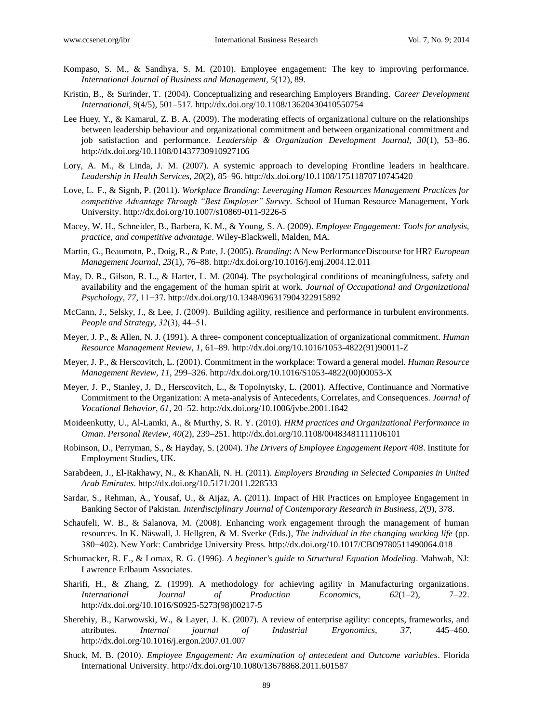- Kompaso, S. M., & Sandhya, S. M. (2010). Employee engagement: The key to improving performance. *International Journal of Business and Management, 5*(12), 89.
- Kristin, B., & Surinder, T. (2004). Conceptualizing and researching Employers Branding. *Career Development International, 9*(4/5), 501–517. http://dx.doi.org/10.1108/13620430410550754
- Lee Huey, Y., & Kamarul, Z. B. A. (2009). The moderating effects of organizational culture on the relationships between leadership behaviour and organizational commitment and between organizational commitment and job satisfaction and performance. *Leadership & Organization Development Journal, 30*(1), 53–86. http://dx.doi.org/10.1108/01437730910927106
- Lory, A. M., & Linda, J. M. (2007). A systemic approach to developing Frontline leaders in healthcare. *Leadership in Health Services, 20*(2), 85–96. http://dx.doi.org/10.1108/17511870710745420
- Love, L. F., & Signh, P. (2011). *Workplace Branding: Leveraging Human Resources Management Practices for competitive Advantage Through "Best Employer" Survey.* School of Human Resource Management, York University. http://dx.doi.org/10.1007/s10869-011-9226-5
- Macey, W. H., Schneider, B., Barbera, K. M., & Young, S. A. (2009). *Employee Engagement: Tools for analysis, practice, and competitive advantage*. Wiley-Blackwell, Malden, MA.
- Martin, G., Beaumotn, P., Doig, R., & Pate, J. (2005). *Branding*: A New PerformanceDiscourse for HR? *European Management Journal, 23*(1), 76–88. http://dx.doi.org/10.1016/j.emj.2004.12.011
- May, D. R., Gilson, R. L., & Harter, L. M. (2004). The psychological conditions of meaningfulness, safety and availability and the engagement of the human spirit at work. *Journal of Occupational and Organizational Psychology, 77*, 11−37. http://dx.doi.org/10.1348/096317904322915892
- McCann, J., Selsky, J., & Lee, J. (2009). Building agility, resilience and performance in turbulent environments. *People and Strategy, 32*(3), 44–51.
- Meyer, J. P., & Allen, N. J. (1991). A three- component conceptualization of organizational commitment. *Human Resource Management Review, 1,* 61–89. http://dx.doi.org/10.1016/1053-4822(91)90011-Z
- Meyer, J. P., & Herscovitch, L. (2001). Commitment in the workplace: Toward a general model. *Human Resource Management Review, 11*, 299–326. http://dx.doi.org/10.1016/S1053-4822(00)00053-X
- Meyer, J. P., Stanley, J. D., Herscovitch, L., & Topolnytsky, L. (2001). Affective, Continuance and Normative Commitment to the Organization: A meta-analysis of Antecedents, Correlates, and Consequences. *Journal of Vocational Behavior, 61*, 20–52. http://dx.doi.org/10.1006/jvbe.2001.1842
- Moideenkutty, U., Al-Lamki, A., & Murthy, S. R. Y. (2010). *HRM practices and Organizational Performance in Oman*. *Personal Review, 40*(2), 239–251. http://dx.doi.org/10.1108/00483481111106101
- Robinson, D., Perryman, S., & Hayday, S. (2004). *The Drivers of Employee Engagement Report 408*. Institute for Employment Studies, UK.
- Sarabdeen, J., El-Rakhawy, N., & KhanAli, N. H. (2011). *Employers Branding in Selected Companies in United Arab Emirates*. http://dx.doi.org/10.5171/2011.228533
- Sardar, S., Rehman, A., Yousaf, U., & Aijaz, A. (2011). Impact of HR Practices on Employee Engagement in Banking Sector of Pakistan. *Interdisciplinary Journal of Contemporary Research in Business, 2*(9), 378.
- Schaufeli, W. B., & Salanova, M. (2008). Enhancing work engagement through the management of human resources. In K. Näswall, J. Hellgren, & M. Sverke (Eds.), *The individual in the changing working life* (pp. 380−402). New York: Cambridge University Press. http://dx.doi.org/10.1017/CBO9780511490064.018
- Schumacker, R. E., & Lomax, R. G. (1996). *A beginner's guide to Structural Equation Modeling*. Mahwah, NJ: Lawrence Erlbaum Associates.
- Sharifi, H., & Zhang, Z. (1999). A methodology for achieving agility in Manufacturing organizations. *International Journal of Production Economics, 62*(1–2), 7–22. http://dx.doi.org/10.1016/S0925-5273(98)00217-5
- Sherehiy, B., Karwowski, W., & Layer, J. K. (2007). A review of enterprise agility: concepts, frameworks, and attributes. *Internal journal of Industrial Ergonomics, 37*, 445–460. http://dx.doi.org/10.1016/j.ergon.2007.01.007
- Shuck, M. B. (2010). *Employee Engagement: An examination of antecedent and Outcome variables*. Florida International University. http://dx.doi.org/10.1080/13678868.2011.601587